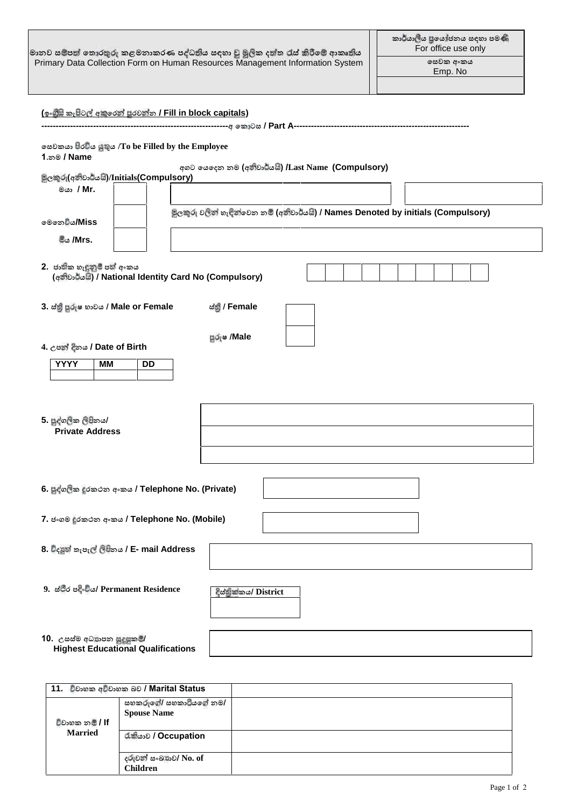|                                                                                                                                                                                               | මානව සම්පත් තොරතුරු කළමනාකරණ පැ්ධතිය සඳහා වු මූලික දත්ත රැස් කිරීමේ ආකෘතිය<br>Primary Data Collection Form on Human Resources Management Information System | කාර්යාලීය පුයෝජනය සඳහා පමණි<br>For office use only<br>෧සවක අංකය<br>Emp. No |
|-----------------------------------------------------------------------------------------------------------------------------------------------------------------------------------------------|-------------------------------------------------------------------------------------------------------------------------------------------------------------|----------------------------------------------------------------------------|
| <u>(ඉංගිසි කැපිටල් අකුරෙන් පුරවන්න / Fill in block capitals)</u><br>ගසවකයා පිරවිය යුතුය /To be Filled by the Employee<br>1?නම / Name<br>පිලකුරු(අනිවාර්යයි)/Initials(Compulsory)<br>මයා / Mr. | අගට යෙදෙන නම (අන්වාර්යයි) /Last Name (Compulsory)<br>මූලකුරු වලින් හැඳින්වෙන නම් (අනිවාර්යයි) / Names Denoted by initials (Compulsory)                      |                                                                            |
| මෙනෙ <b>්ය/Miss</b><br>මීය /Mrs.                                                                                                                                                              |                                                                                                                                                             |                                                                            |
| 2. ජාතික හැඳුනුම් පත් අංකය                                                                                                                                                                    | (අන්වාර්යයි) / National Identity Card No (Compulsory)                                                                                                       |                                                                            |
| 3. ස්තු පුරුෂ භාවය / Male or Female<br>4. උපත් දිනය / Date of Birth<br><b>YYYY</b><br><b>MM</b><br><b>DD</b><br>5. පුද්ගලික ලිපිනය/<br><b>Private Address</b>                                 | ಜಿಖ್ಖೆ / Female<br>පූරුෂ /Male                                                                                                                              |                                                                            |
| 6. පුද්ගලික දුරකථන අංකය / Telephone No. (Private)                                                                                                                                             |                                                                                                                                                             |                                                                            |
| 7. ජංගම රකථන අංකය / Telephone No. (Mobile)<br>8. විදසුන් තැපැල් ලිපිනය / E- mail Address                                                                                                      |                                                                                                                                                             |                                                                            |
| 9. ಜೆಲೆಂ ಅಕ್ಟಿಲಿಂ/ Permanent Residence                                                                                                                                                        | දිස්තික්කය/ District                                                                                                                                        |                                                                            |
| 10. උසස්ම අධ්යාපන සුදුසුකම්/<br><b>Highest Educational Qualifications</b>                                                                                                                     |                                                                                                                                                             |                                                                            |

|                        | 11. විවාහක අවිවාහක බව / Marital Status       |  |
|------------------------|----------------------------------------------|--|
| විවාහක න <b>් / lf</b> | සහකරුගේ/ සහකාටියගේ නම/<br><b>Spouse Name</b> |  |
| <b>Married</b>         | ರೊತ್ಯೆ / Occupation                          |  |
|                        | දරුවන් සංඛතව/ No. of<br><b>Children</b>      |  |